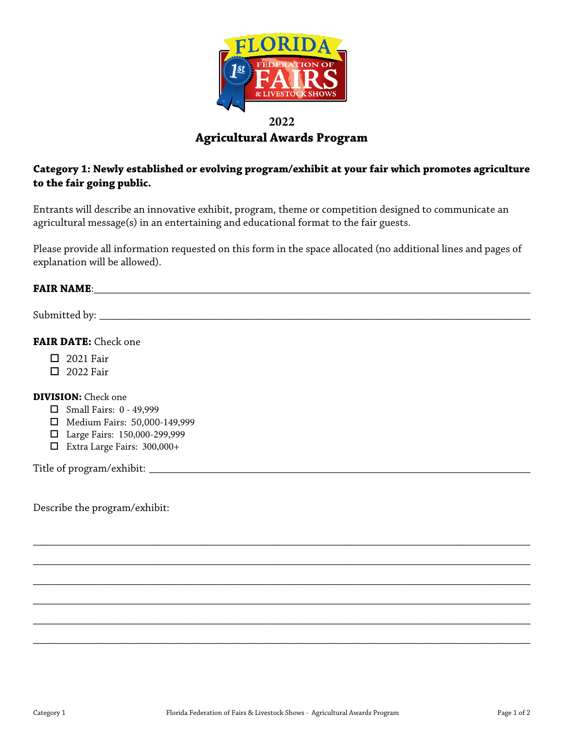

# **2022 Agricultural Awards Program**

# **Category 1: Newly established or evolving program/exhibit at your fair which promotes agriculture to the fair going public.**

Entrants will describe an innovative exhibit, program, theme or competition designed to communicate an agricultural message(s) in an entertaining and educational format to the fair guests.

Please provide all information requested on this form in the space allocated (no additional lines and pages of explanation will be allowed).

#### **FAIR NAME:** The state of the state of the state of the state of the state of the state of the state of the state of the state of the state of the state of the state of the state of the state of the state of the state of t

Submitted by: \_\_\_\_\_\_\_\_\_\_\_\_\_\_\_\_\_\_\_\_\_\_\_\_\_\_\_\_\_\_\_\_\_\_\_\_\_\_\_\_\_\_\_\_\_\_\_\_\_\_\_\_\_\_\_\_\_\_\_\_\_\_\_\_\_\_\_\_\_\_\_\_\_\_\_\_\_\_

## **FAIR DATE:** Check one

- $\Box$  2021 Fair
- $\Box$  2022 Fair

#### **DIVISION:** Check one

- $\Box$  Small Fairs: 0 49,999
- Medium Fairs: 50,000-149,999
- Large Fairs: 150,000-299,999
- Extra Large Fairs: 300,000+

Title of program/exhibit: \_\_\_\_\_\_\_\_\_\_\_\_\_\_\_\_\_\_\_\_\_\_\_\_\_\_\_\_\_\_\_\_\_\_\_\_\_\_\_\_\_\_\_\_\_\_\_\_\_\_\_\_\_\_\_\_\_\_\_\_\_\_\_\_\_\_\_\_\_

Describe the program/exhibit:

\_\_\_\_\_\_\_\_\_\_\_\_\_\_\_\_\_\_\_\_\_\_\_\_\_\_\_\_\_\_\_\_\_\_\_\_\_\_\_\_\_\_\_\_\_\_\_\_\_\_\_\_\_\_\_\_\_\_\_\_\_\_\_\_\_\_\_\_\_\_\_\_\_\_\_\_\_\_\_\_\_\_\_\_\_\_\_\_\_\_

\_\_\_\_\_\_\_\_\_\_\_\_\_\_\_\_\_\_\_\_\_\_\_\_\_\_\_\_\_\_\_\_\_\_\_\_\_\_\_\_\_\_\_\_\_\_\_\_\_\_\_\_\_\_\_\_\_\_\_\_\_\_\_\_\_\_\_\_\_\_\_\_\_\_\_\_\_\_\_\_\_\_\_\_\_\_\_\_\_\_

\_\_\_\_\_\_\_\_\_\_\_\_\_\_\_\_\_\_\_\_\_\_\_\_\_\_\_\_\_\_\_\_\_\_\_\_\_\_\_\_\_\_\_\_\_\_\_\_\_\_\_\_\_\_\_\_\_\_\_\_\_\_\_\_\_\_\_\_\_\_\_\_\_\_\_\_\_\_\_\_\_\_\_\_\_\_\_\_\_\_

\_\_\_\_\_\_\_\_\_\_\_\_\_\_\_\_\_\_\_\_\_\_\_\_\_\_\_\_\_\_\_\_\_\_\_\_\_\_\_\_\_\_\_\_\_\_\_\_\_\_\_\_\_\_\_\_\_\_\_\_\_\_\_\_\_\_\_\_\_\_\_\_\_\_\_\_\_\_\_\_\_\_\_\_\_\_\_\_\_\_

\_\_\_\_\_\_\_\_\_\_\_\_\_\_\_\_\_\_\_\_\_\_\_\_\_\_\_\_\_\_\_\_\_\_\_\_\_\_\_\_\_\_\_\_\_\_\_\_\_\_\_\_\_\_\_\_\_\_\_\_\_\_\_\_\_\_\_\_\_\_\_\_\_\_\_\_\_\_\_\_\_\_\_\_\_\_\_\_\_\_

\_\_\_\_\_\_\_\_\_\_\_\_\_\_\_\_\_\_\_\_\_\_\_\_\_\_\_\_\_\_\_\_\_\_\_\_\_\_\_\_\_\_\_\_\_\_\_\_\_\_\_\_\_\_\_\_\_\_\_\_\_\_\_\_\_\_\_\_\_\_\_\_\_\_\_\_\_\_\_\_\_\_\_\_\_\_\_\_\_\_